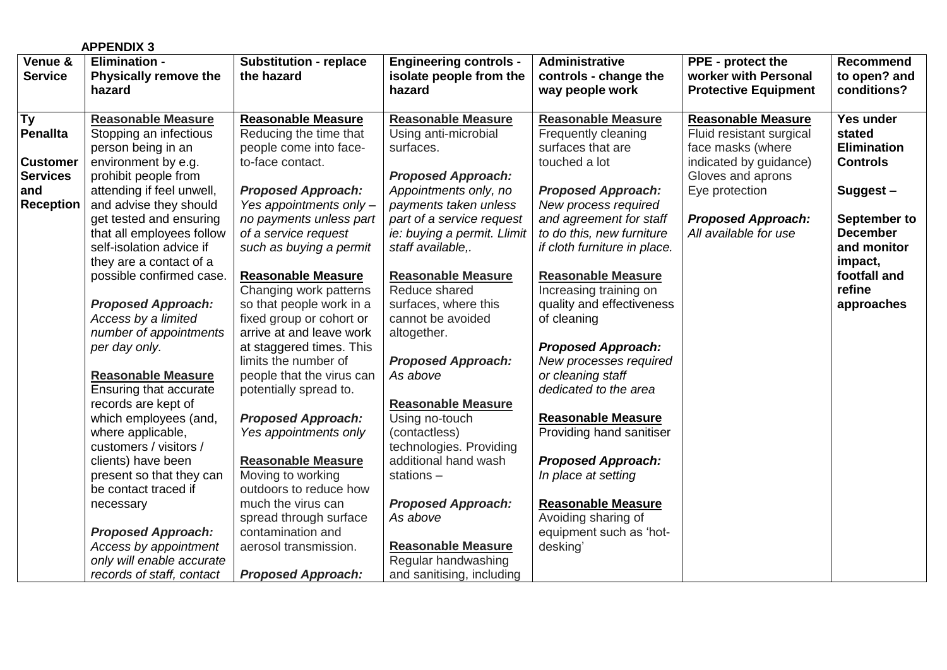|                                    | <b>APPENDIX 3</b>                                                         |                                                                               |                                                                    |                                                                       |                                                                            |                                                 |
|------------------------------------|---------------------------------------------------------------------------|-------------------------------------------------------------------------------|--------------------------------------------------------------------|-----------------------------------------------------------------------|----------------------------------------------------------------------------|-------------------------------------------------|
| Venue &<br><b>Service</b>          | <b>Elimination -</b><br><b>Physically remove the</b><br>hazard            | <b>Substitution - replace</b><br>the hazard                                   | <b>Engineering controls -</b><br>isolate people from the<br>hazard | Administrative<br>controls - change the<br>way people work            | PPE - protect the<br>worker with Personal<br><b>Protective Equipment</b>   | <b>Recommend</b><br>to open? and<br>conditions? |
|                                    |                                                                           |                                                                               |                                                                    |                                                                       |                                                                            |                                                 |
| $\overline{Ty}$<br><b>Penallta</b> | <b>Reasonable Measure</b><br>Stopping an infectious<br>person being in an | <b>Reasonable Measure</b><br>Reducing the time that<br>people come into face- | <b>Reasonable Measure</b><br>Using anti-microbial<br>surfaces.     | <b>Reasonable Measure</b><br>Frequently cleaning<br>surfaces that are | <b>Reasonable Measure</b><br>Fluid resistant surgical<br>face masks (where | Yes under<br>stated<br><b>Elimination</b>       |
| <b>Customer</b>                    | environment by e.g.                                                       | to-face contact.                                                              |                                                                    | touched a lot                                                         | indicated by guidance)                                                     | <b>Controls</b>                                 |
| <b>Services</b>                    | prohibit people from                                                      |                                                                               | <b>Proposed Approach:</b>                                          |                                                                       | Gloves and aprons                                                          |                                                 |
| and                                | attending if feel unwell,                                                 | <b>Proposed Approach:</b>                                                     | Appointments only, no                                              | <b>Proposed Approach:</b>                                             | Eye protection                                                             | Suggest-                                        |
| <b>Reception</b>                   | and advise they should                                                    | Yes appointments only -                                                       | payments taken unless                                              | New process required                                                  |                                                                            |                                                 |
|                                    | get tested and ensuring                                                   | no payments unless part                                                       | part of a service request                                          | and agreement for staff                                               | <b>Proposed Approach:</b>                                                  | September to                                    |
|                                    | that all employees follow                                                 | of a service request                                                          | ie: buying a permit. Llimit                                        | to do this, new furniture                                             | All available for use                                                      | <b>December</b>                                 |
|                                    | self-isolation advice if                                                  | such as buying a permit                                                       | staff available,.                                                  | if cloth furniture in place.                                          |                                                                            | and monitor                                     |
|                                    | they are a contact of a                                                   |                                                                               |                                                                    |                                                                       |                                                                            | impact,                                         |
|                                    | possible confirmed case.                                                  | <b>Reasonable Measure</b>                                                     | <b>Reasonable Measure</b>                                          | <b>Reasonable Measure</b>                                             |                                                                            | footfall and                                    |
|                                    |                                                                           | Changing work patterns                                                        | Reduce shared                                                      | Increasing training on                                                |                                                                            | refine                                          |
|                                    | <b>Proposed Approach:</b>                                                 | so that people work in a                                                      | surfaces, where this                                               | quality and effectiveness                                             |                                                                            | approaches                                      |
|                                    | Access by a limited                                                       | fixed group or cohort or                                                      | cannot be avoided                                                  | of cleaning                                                           |                                                                            |                                                 |
|                                    | number of appointments                                                    | arrive at and leave work                                                      | altogether.                                                        |                                                                       |                                                                            |                                                 |
|                                    | per day only.                                                             | at staggered times. This                                                      |                                                                    | <b>Proposed Approach:</b>                                             |                                                                            |                                                 |
|                                    |                                                                           | limits the number of                                                          | <b>Proposed Approach:</b>                                          | New processes required                                                |                                                                            |                                                 |
|                                    | <b>Reasonable Measure</b>                                                 | people that the virus can                                                     | As above                                                           | or cleaning staff                                                     |                                                                            |                                                 |
|                                    | Ensuring that accurate                                                    | potentially spread to.                                                        |                                                                    | dedicated to the area                                                 |                                                                            |                                                 |
|                                    | records are kept of                                                       |                                                                               | <b>Reasonable Measure</b>                                          |                                                                       |                                                                            |                                                 |
|                                    | which employees (and,                                                     | <b>Proposed Approach:</b>                                                     | Using no-touch                                                     | <b>Reasonable Measure</b>                                             |                                                                            |                                                 |
|                                    | where applicable,                                                         | Yes appointments only                                                         | (contactless)                                                      | Providing hand sanitiser                                              |                                                                            |                                                 |
|                                    | customers / visitors /                                                    |                                                                               | technologies. Providing                                            |                                                                       |                                                                            |                                                 |
|                                    | clients) have been                                                        | <b>Reasonable Measure</b>                                                     | additional hand wash                                               | <b>Proposed Approach:</b>                                             |                                                                            |                                                 |
|                                    | present so that they can                                                  | Moving to working                                                             | stations-                                                          | In place at setting                                                   |                                                                            |                                                 |
|                                    | be contact traced if                                                      | outdoors to reduce how                                                        |                                                                    |                                                                       |                                                                            |                                                 |
|                                    | necessary                                                                 | much the virus can                                                            | <b>Proposed Approach:</b>                                          | <b>Reasonable Measure</b>                                             |                                                                            |                                                 |
|                                    |                                                                           | spread through surface                                                        | As above                                                           | Avoiding sharing of                                                   |                                                                            |                                                 |
|                                    | <b>Proposed Approach:</b>                                                 | contamination and                                                             |                                                                    | equipment such as 'hot-                                               |                                                                            |                                                 |
|                                    | Access by appointment                                                     | aerosol transmission.                                                         | <b>Reasonable Measure</b>                                          | desking'                                                              |                                                                            |                                                 |
|                                    | only will enable accurate                                                 |                                                                               | Regular handwashing                                                |                                                                       |                                                                            |                                                 |
|                                    | records of staff, contact                                                 | <b>Proposed Approach:</b>                                                     | and sanitising, including                                          |                                                                       |                                                                            |                                                 |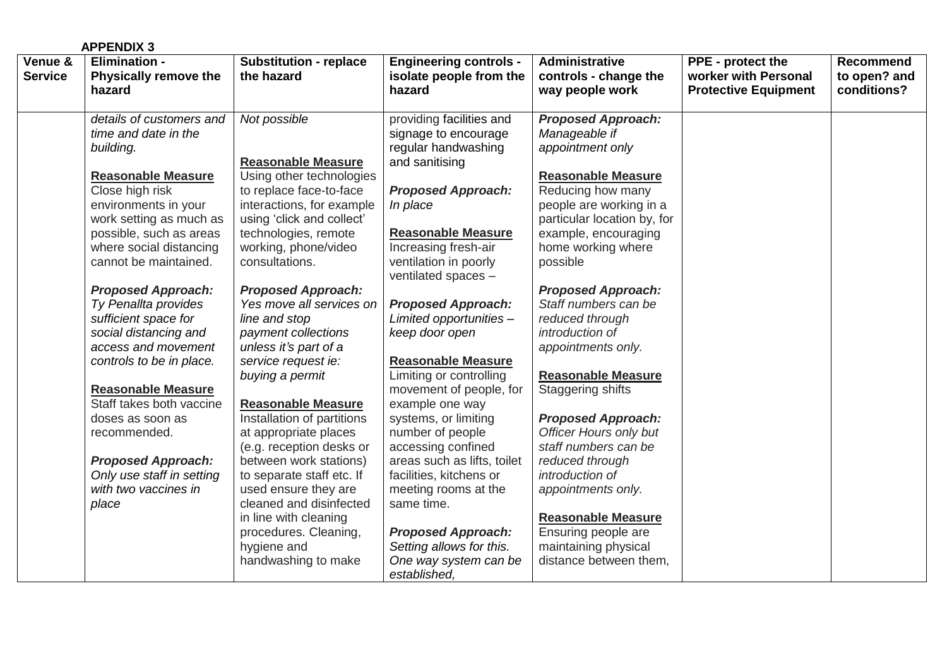|                           | <b>APPENDIX 3</b>                                                                                                                                                              |                                                                                                                                                                                 |                                                                                                                                         |                                                                                                                                                                    |                                                                          |                                          |
|---------------------------|--------------------------------------------------------------------------------------------------------------------------------------------------------------------------------|---------------------------------------------------------------------------------------------------------------------------------------------------------------------------------|-----------------------------------------------------------------------------------------------------------------------------------------|--------------------------------------------------------------------------------------------------------------------------------------------------------------------|--------------------------------------------------------------------------|------------------------------------------|
| Venue &<br><b>Service</b> | <b>Elimination -</b><br><b>Physically remove the</b><br>hazard                                                                                                                 | <b>Substitution - replace</b><br>the hazard                                                                                                                                     | <b>Engineering controls -</b><br>isolate people from the<br>hazard                                                                      | <b>Administrative</b><br>controls - change the<br>way people work                                                                                                  | PPE - protect the<br>worker with Personal<br><b>Protective Equipment</b> | Recommend<br>to open? and<br>conditions? |
|                           | details of customers and<br>time and date in the<br>building.                                                                                                                  | Not possible<br><b>Reasonable Measure</b>                                                                                                                                       | providing facilities and<br>signage to encourage<br>regular handwashing<br>and sanitising                                               | <b>Proposed Approach:</b><br>Manageable if<br>appointment only                                                                                                     |                                                                          |                                          |
|                           | <b>Reasonable Measure</b><br>Close high risk<br>environments in your<br>work setting as much as<br>possible, such as areas<br>where social distancing<br>cannot be maintained. | Using other technologies<br>to replace face-to-face<br>interactions, for example<br>using 'click and collect'<br>technologies, remote<br>working, phone/video<br>consultations. | <b>Proposed Approach:</b><br>In place<br><b>Reasonable Measure</b><br>Increasing fresh-air<br>ventilation in poorly                     | <b>Reasonable Measure</b><br>Reducing how many<br>people are working in a<br>particular location by, for<br>example, encouraging<br>home working where<br>possible |                                                                          |                                          |
|                           | <b>Proposed Approach:</b><br>Ty Penallta provides<br>sufficient space for<br>social distancing and<br>access and movement<br>controls to be in place.                          | <b>Proposed Approach:</b><br>Yes move all services on<br>line and stop<br>payment collections<br>unless it's part of a<br>service request ie:                                   | ventilated spaces -<br><b>Proposed Approach:</b><br>Limited opportunities -<br>keep door open<br><b>Reasonable Measure</b>              | <b>Proposed Approach:</b><br>Staff numbers can be<br>reduced through<br>introduction of<br>appointments only.<br><b>Reasonable Measure</b>                         |                                                                          |                                          |
|                           | <b>Reasonable Measure</b><br>Staff takes both vaccine<br>doses as soon as<br>recommended.                                                                                      | buying a permit<br><b>Reasonable Measure</b><br>Installation of partitions<br>at appropriate places<br>(e.g. reception desks or                                                 | Limiting or controlling<br>movement of people, for<br>example one way<br>systems, or limiting<br>number of people<br>accessing confined | <b>Staggering shifts</b><br><b>Proposed Approach:</b><br><b>Officer Hours only but</b><br>staff numbers can be                                                     |                                                                          |                                          |
|                           | <b>Proposed Approach:</b><br>Only use staff in setting<br>with two vaccines in<br>place                                                                                        | between work stations)<br>to separate staff etc. If<br>used ensure they are<br>cleaned and disinfected<br>in line with cleaning<br>procedures. Cleaning,                        | areas such as lifts, toilet<br>facilities, kitchens or<br>meeting rooms at the<br>same time.<br><b>Proposed Approach:</b>               | reduced through<br>introduction of<br>appointments only.<br><b>Reasonable Measure</b><br>Ensuring people are                                                       |                                                                          |                                          |
|                           |                                                                                                                                                                                | hygiene and<br>handwashing to make                                                                                                                                              | Setting allows for this.<br>One way system can be<br>established.                                                                       | maintaining physical<br>distance between them,                                                                                                                     |                                                                          |                                          |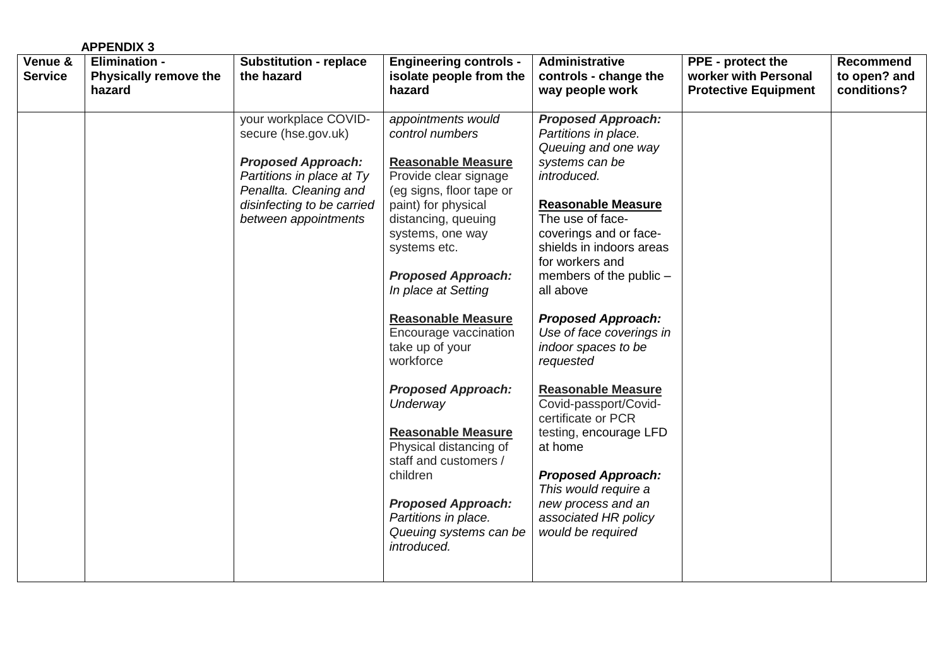|                           | <b>APPENDIX 3</b>                                              |                                                                                                                                                                                        |                                                                                                                                                                                                                                                                                                                                                                                                                                                                                                                                                                                        |                                                                                                                                                                                                                                                                                                                                                                                                                                                                                                                                                                                                                   |                                                                          |                                                 |
|---------------------------|----------------------------------------------------------------|----------------------------------------------------------------------------------------------------------------------------------------------------------------------------------------|----------------------------------------------------------------------------------------------------------------------------------------------------------------------------------------------------------------------------------------------------------------------------------------------------------------------------------------------------------------------------------------------------------------------------------------------------------------------------------------------------------------------------------------------------------------------------------------|-------------------------------------------------------------------------------------------------------------------------------------------------------------------------------------------------------------------------------------------------------------------------------------------------------------------------------------------------------------------------------------------------------------------------------------------------------------------------------------------------------------------------------------------------------------------------------------------------------------------|--------------------------------------------------------------------------|-------------------------------------------------|
| Venue &<br><b>Service</b> | <b>Elimination -</b><br><b>Physically remove the</b><br>hazard | <b>Substitution - replace</b><br>the hazard                                                                                                                                            | <b>Engineering controls -</b><br>isolate people from the<br>hazard                                                                                                                                                                                                                                                                                                                                                                                                                                                                                                                     | Administrative<br>controls - change the<br>way people work                                                                                                                                                                                                                                                                                                                                                                                                                                                                                                                                                        | PPE - protect the<br>worker with Personal<br><b>Protective Equipment</b> | <b>Recommend</b><br>to open? and<br>conditions? |
|                           |                                                                | your workplace COVID-<br>secure (hse.gov.uk)<br><b>Proposed Approach:</b><br>Partitions in place at Ty<br>Penallta. Cleaning and<br>disinfecting to be carried<br>between appointments | appointments would<br>control numbers<br><b>Reasonable Measure</b><br>Provide clear signage<br>(eg signs, floor tape or<br>paint) for physical<br>distancing, queuing<br>systems, one way<br>systems etc.<br><b>Proposed Approach:</b><br>In place at Setting<br><b>Reasonable Measure</b><br>Encourage vaccination<br>take up of your<br>workforce<br><b>Proposed Approach:</b><br>Underway<br><b>Reasonable Measure</b><br>Physical distancing of<br>staff and customers /<br>children<br><b>Proposed Approach:</b><br>Partitions in place.<br>Queuing systems can be<br>introduced. | <b>Proposed Approach:</b><br>Partitions in place.<br>Queuing and one way<br>systems can be<br>introduced.<br><b>Reasonable Measure</b><br>The use of face-<br>coverings and or face-<br>shields in indoors areas<br>for workers and<br>members of the public -<br>all above<br><b>Proposed Approach:</b><br>Use of face coverings in<br>indoor spaces to be<br>requested<br><b>Reasonable Measure</b><br>Covid-passport/Covid-<br>certificate or PCR<br>testing, encourage LFD<br>at home<br><b>Proposed Approach:</b><br>This would require a<br>new process and an<br>associated HR policy<br>would be required |                                                                          |                                                 |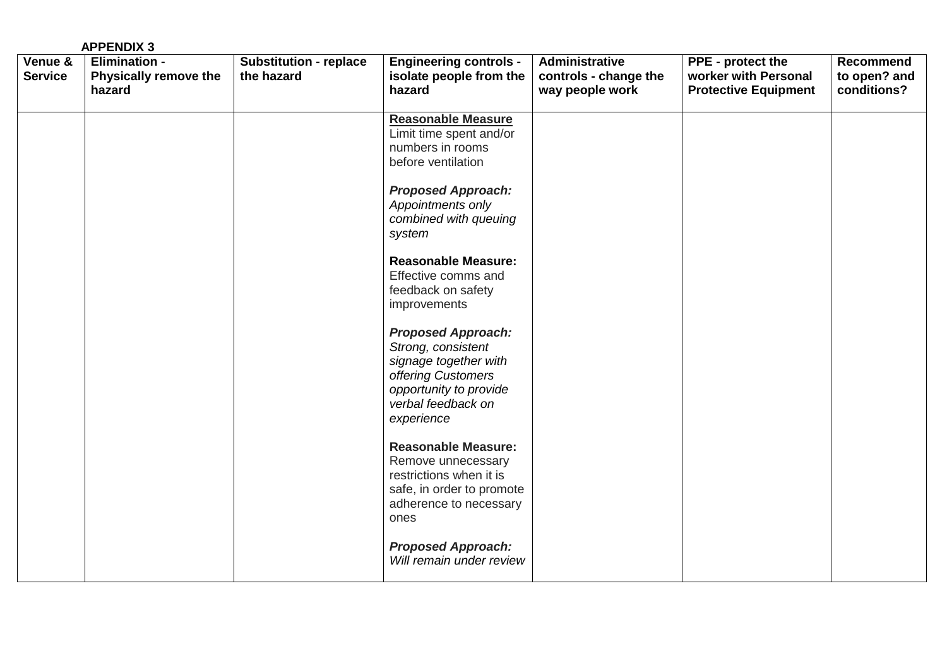| <b>APPENDIX 3</b>                                                                    |                                             |                                                                                                                                                                                                                                                                                                                                                                                                                                                                                                                                                                                                                                                |                                                                   |                                                                                 |                                          |
|--------------------------------------------------------------------------------------|---------------------------------------------|------------------------------------------------------------------------------------------------------------------------------------------------------------------------------------------------------------------------------------------------------------------------------------------------------------------------------------------------------------------------------------------------------------------------------------------------------------------------------------------------------------------------------------------------------------------------------------------------------------------------------------------------|-------------------------------------------------------------------|---------------------------------------------------------------------------------|------------------------------------------|
| Venue &<br><b>Elimination -</b><br><b>Service</b><br>Physically remove the<br>hazard | <b>Substitution - replace</b><br>the hazard | <b>Engineering controls -</b><br>isolate people from the<br>hazard                                                                                                                                                                                                                                                                                                                                                                                                                                                                                                                                                                             | <b>Administrative</b><br>controls - change the<br>way people work | <b>PPE</b> - protect the<br>worker with Personal<br><b>Protective Equipment</b> | Recommend<br>to open? and<br>conditions? |
|                                                                                      |                                             | Reasonable Measure<br>Limit time spent and/or<br>numbers in rooms<br>before ventilation<br><b>Proposed Approach:</b><br>Appointments only<br>combined with queuing<br>system<br><b>Reasonable Measure:</b><br>Effective comms and<br>feedback on safety<br>improvements<br><b>Proposed Approach:</b><br>Strong, consistent<br>signage together with<br>offering Customers<br>opportunity to provide<br>verbal feedback on<br>experience<br><b>Reasonable Measure:</b><br>Remove unnecessary<br>restrictions when it is<br>safe, in order to promote<br>adherence to necessary<br>ones<br><b>Proposed Approach:</b><br>Will remain under review |                                                                   |                                                                                 |                                          |